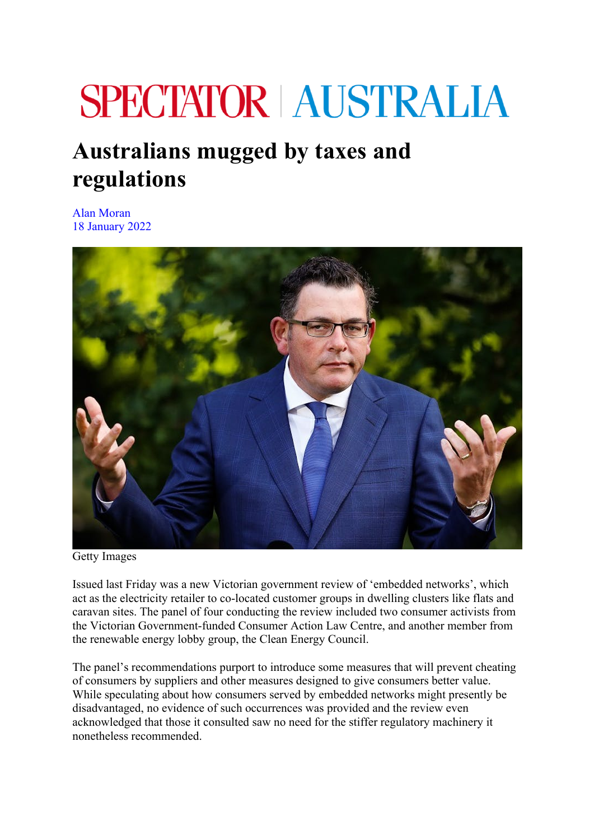## **SPECTATOR | AUSTRALIA**

## **Australians mugged by taxes and regulations**

Alan Moran 18 January 2022



Getty Images

Issued last Friday was a new Victorian government review of 'embedded networks', which act as the electricity retailer to co-located customer groups in dwelling clusters like flats and caravan sites. The panel of four conducting the review included two consumer activists from the Victorian Government-funded Consumer Action Law Centre, and another member from the renewable energy lobby group, the Clean Energy Council.

The panel's recommendations purport to introduce some measures that will prevent cheating of consumers by suppliers and other measures designed to give consumers better value. While speculating about how consumers served by embedded networks might presently be disadvantaged, no evidence of such occurrences was provided and the review even acknowledged that those it consulted saw no need for the stiffer regulatory machinery it nonetheless recommended.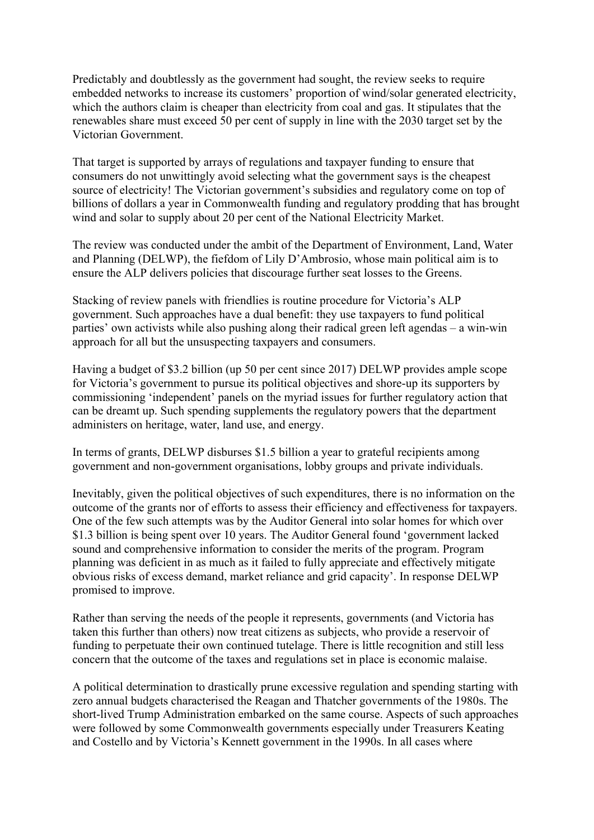Predictably and doubtlessly as the government had sought, the review seeks to require embedded networks to increase its customers' proportion of wind/solar generated electricity, which the authors claim is cheaper than electricity from coal and gas. It stipulates that the renewables share must exceed 50 per cent of supply in line with the 2030 target set by the Victorian Government.

That target is supported by arrays of regulations and taxpayer funding to ensure that consumers do not unwittingly avoid selecting what the government says is the cheapest source of electricity! The Victorian government's subsidies and regulatory come on top of billions of dollars a year in Commonwealth funding and regulatory prodding that has brought wind and solar to supply about 20 per cent of the National Electricity Market.

The review was conducted under the ambit of the Department of Environment, Land, Water and Planning (DELWP), the fiefdom of Lily D'Ambrosio, whose main political aim is to ensure the ALP delivers policies that discourage further seat losses to the Greens.

Stacking of review panels with friendlies is routine procedure for Victoria's ALP government. Such approaches have a dual benefit: they use taxpayers to fund political parties' own activists while also pushing along their radical green left agendas – a win-win approach for all but the unsuspecting taxpayers and consumers.

Having a budget of \$3.2 billion (up 50 per cent since 2017) DELWP provides ample scope for Victoria's government to pursue its political objectives and shore-up its supporters by commissioning 'independent' panels on the myriad issues for further regulatory action that can be dreamt up. Such spending supplements the regulatory powers that the department administers on heritage, water, land use, and energy.

In terms of grants, DELWP disburses \$1.5 billion a year to grateful recipients among government and non-government organisations, lobby groups and private individuals.

Inevitably, given the political objectives of such expenditures, there is no information on the outcome of the grants nor of efforts to assess their efficiency and effectiveness for taxpayers. One of the few such attempts was by the Auditor General into solar homes for which over \$1.3 billion is being spent over 10 years. The Auditor General found 'government lacked sound and comprehensive information to consider the merits of the program. Program planning was deficient in as much as it failed to fully appreciate and effectively mitigate obvious risks of excess demand, market reliance and grid capacity'. In response DELWP promised to improve.

Rather than serving the needs of the people it represents, governments (and Victoria has taken this further than others) now treat citizens as subjects, who provide a reservoir of funding to perpetuate their own continued tutelage. There is little recognition and still less concern that the outcome of the taxes and regulations set in place is economic malaise.

A political determination to drastically prune excessive regulation and spending starting with zero annual budgets characterised the Reagan and Thatcher governments of the 1980s. The short-lived Trump Administration embarked on the same course. Aspects of such approaches were followed by some Commonwealth governments especially under Treasurers Keating and Costello and by Victoria's Kennett government in the 1990s. In all cases where